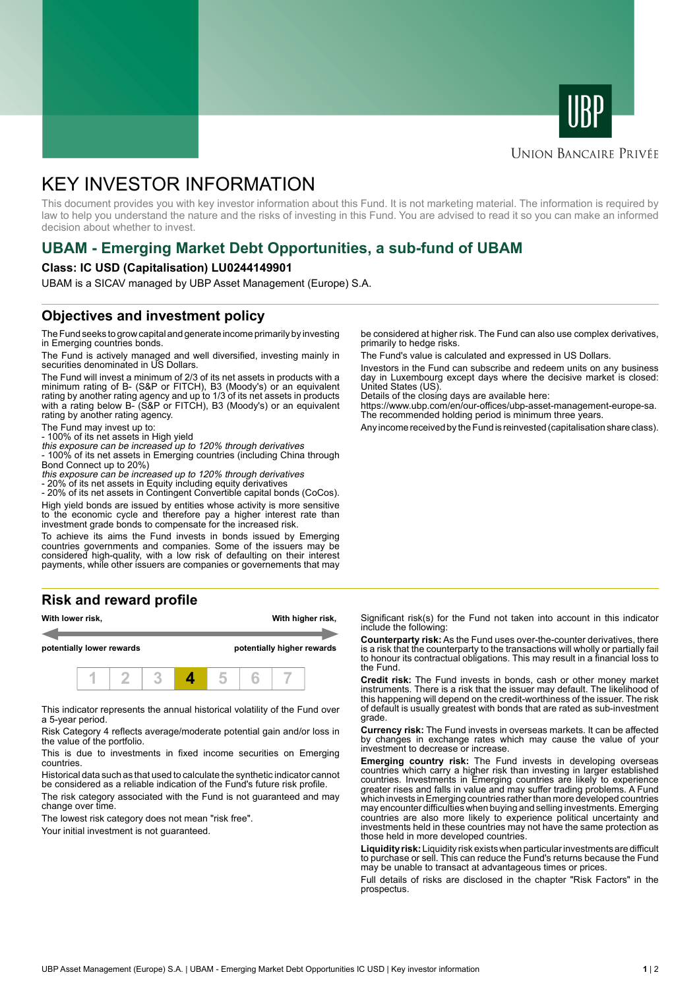



### **UNION BANCAIRE PRIVÉE**

# KEY INVESTOR INFORMATION

This document provides you with key investor information about this Fund. It is not marketing material. The information is required by law to help you understand the nature and the risks of investing in this Fund. You are advised to read it so you can make an informed decision about whether to invest.

# **UBAM - Emerging Market Debt Opportunities, a sub-fund of UBAM**

#### **Class: IC USD (Capitalisation) LU0244149901**

UBAM is a SICAV managed by UBP Asset Management (Europe) S.A.

# **Objectives and investment policy**

The Fund seeks to grow capital and generate income primarily by investing in Emerging countries bonds.

The Fund is actively managed and well diversified, investing mainly in securities denominated in US Dollars.

The Fund will invest a minimum of 2/3 of its net assets in products with a minimum rating of B- (S&P or FITCH), B3 (Moody's) or an equivalent rating by another rating agency and up to 1/3 of its net assets in products with a rating below B- (S&P or FITCH), B3 (Moody's) or an equivalent rating by another rating agency.

The Fund may invest up to:

- 100% of its net assets in High yield this exposure can be increased up to 120% through derivatives

- 100% of its net assets in Emerging countries (including China through Bond Connect up to 20%)

this exposure can be increased up to 120% through derivatives

- 20% of its net assets in Equity including equity derivatives

- 20% of its net assets in Contingent Convertible capital bonds (CoCos). High yield bonds are issued by entities whose activity is more sensitive to the economic cycle and therefore pay a higher interest rate than investment grade bonds to compensate for the increased risk.

To achieve its aims the Fund invests in bonds issued by Emerging countries governments and companies. Some of the issuers may be considered high-quality, with a low risk of defaulting on their interest payments, while other issuers are companies or governements that may

# **Risk and reward profile**



This indicator represents the annual historical volatility of the Fund over a 5-year period.

Risk Category 4 reflects average/moderate potential gain and/or loss in the value of the portfolio.

This is due to investments in fixed income securities on Emerging countries.

Historical data such as that used to calculate the synthetic indicator cannot be considered as a reliable indication of the Fund's future risk profile. The risk category associated with the Fund is not guaranteed and may

change over time. The lowest risk category does not mean "risk free".

Your initial investment is not quaranteed.

be considered at higher risk. The Fund can also use complex derivatives, primarily to hedge risks.

The Fund's value is calculated and expressed in US Dollars.

Investors in the Fund can subscribe and redeem units on any business day in Luxembourg except days where the decisive market is closed: United States (US).

Details of the closing days are available here:

https://www.ubp.com/en/our-offices/ubp-asset-management-europe-sa. The recommended holding period is minimum three years.

Any income received by the Fund is reinvested (capitalisation share class).

Significant risk(s) for the Fund not taken into account in this indicator include the following:

**Counterparty risk:** As the Fund uses over-the-counter derivatives, there is a risk that the counterparty to the transactions will wholly or partially fail to honour its contractual obligations. This may result in a financial loss to the Fund.

**Credit risk:** The Fund invests in bonds, cash or other money market instruments. There is a risk that the issuer may default. The likelihood of this happening will depend on the credit-worthiness of the issuer. The risk of default is usually greatest with bonds that are rated as sub-investment grade.

**Currency risk:** The Fund invests in overseas markets. It can be affected by changes in exchange rates which may cause the value of your investment to decrease or increase.

**Emerging country risk:** The Fund invests in developing overseas countries which carry a higher risk than investing in larger established countries. Investments in Emerging countries are likely to experience greater rises and falls in value and may suffer trading problems. A Fund which invests in Emerging countries rather than more developed countries may encounter difficulties when buying and selling investments. Emerging countries are also more likely to experience political uncertainty and investments held in these countries may not have the same protection as those held in more developed countries.

**Liquidity risk:** Liquidity risk exists when particular investments are difficult to purchase or sell. This can reduce the Fund's returns because the Fund may be unable to transact at advantageous times or prices.

Full details of risks are disclosed in the chapter "Risk Factors" in the prospectus.